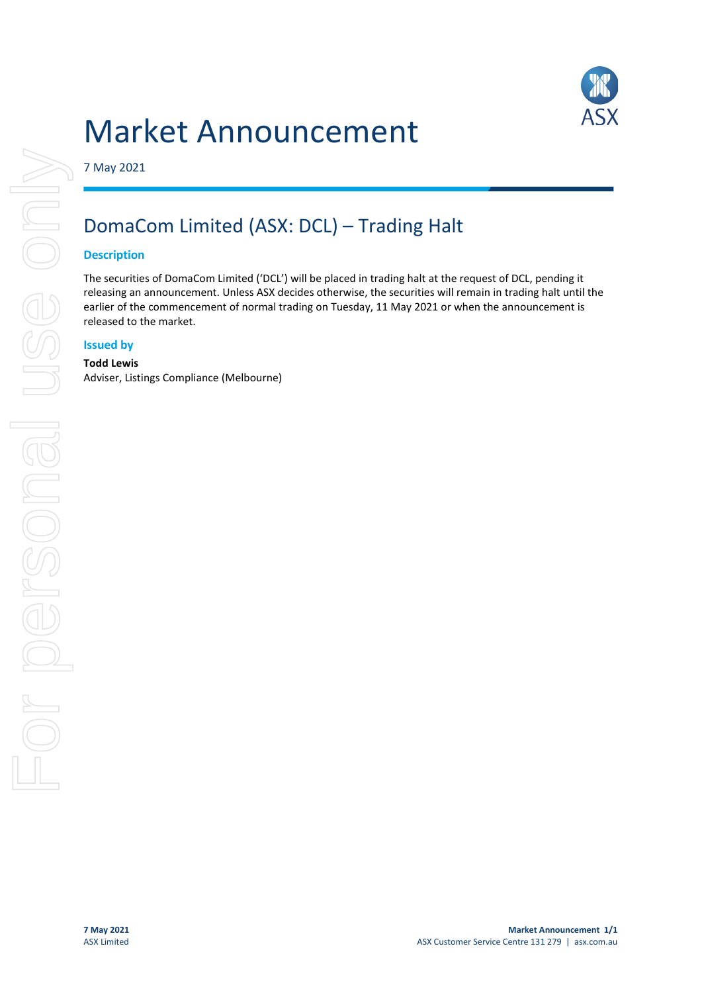# Market Announcement



7 May 2021

# DomaCom Limited (ASX: DCL) – Trading Halt

## **Description**

The securities of DomaCom Limited ('DCL') will be placed in trading halt at the request of DCL, pending it releasing an announcement. Unless ASX decides otherwise, the securities will remain in trading halt until the earlier of the commencement of normal trading on Tuesday, 11 May 2021 or when the announcement is released to the market.

## **Issued by**

#### **Todd Lewis**

Adviser, Listings Compliance (Melbourne)